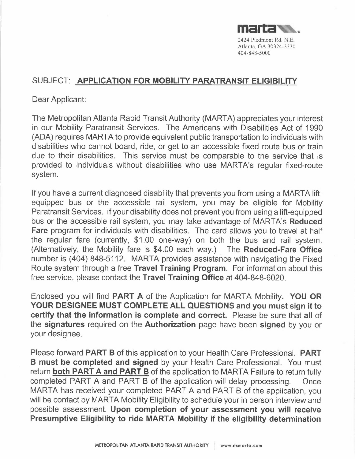

# SUBJECT: **APPLICATION FOR MOBILITY PARATRANSIT ELIGIBILITY**

Dear Applicant:

The Metropolitan Atlanta Rapid Transit Authority (MART A) appreciates your interest in our Mobility Paratransit Services. The Americans with Disabilities Act of 1990 (ADA) requires MARTA to provide equivalent public transportation to individuals with disabilities who cannot board, ride, or get to an accessible fixed route bus or train due to their disabilities. This service must be comparable to the service that is provided to individuals without disabilities who use MARTA's regular fixed-route system.

If you have a current diagnosed disability that prevents you from using a MARTA liftequipped bus or the accessible rail system, you may be eligible for Mobility Paratransit Services. If your disability does not prevent you from using a lift-equipped bus or the accessible rail system, you may take advantage of MARTA's **Reduced Fare** program for individuals with disabilities. The card allows you to travel at half the regular fare (currently, \$1.00 one-way) on both the bus and rail system. (Alternatively, the Mobility fare is \$4.00 each way.) The **Reduced-Fare Office**  number is (404) 848-5112. MARTA provides assistance with navigating the Fixed Route system through a free **Travel Training Program.** For information about this free service, please contact the **Travel Training Office** at 404-848-6020.

Enclosed you will find **PART A** of the Application for MARTA Mobility. **YOU OR YOUR DESIGNEE MUST COMPLETE ALL QUESTIONS and you must sign it to certify that the information is complete and correct.** Please be sure that **all** of the **signatures** required on the **Authorization** page have been **signed** by you or your designee.

Please forward **PART B** of this application to your Health Care Professional. **PART B must be completed and signed** by your Health Care Professional. You must return **both PART A and PART B** of the application to MARTA Failure to return fully completed PART A and PART B of the application will delay processing. Once MARTA has received your completed PART A and PART B of the application, you will be contact by MARTA Mobility Eligibility to schedule your in person interview and possible assessment. **Upon completion of your assessment you will receive Presumptive Eligibility to ride MARTA Mobility if the eligibility determination**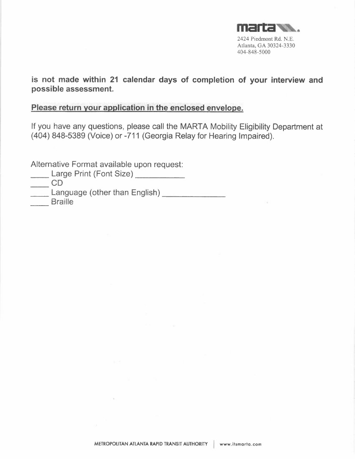

**is not made within 21 calendar days of completion of your interview and possible assessment.** 

# **Please return your application in the enclosed envelope.**

If you have any questions, please call the MARTA Mobility Eligibility Department at (404) 848-5389 (Voice) or -711 (Georgia Relay for Hearing Impaired).

Alternative Format available upon request:

**Large Print (Font Size)** 2002 2014

 $\rightarrow$ 

 $\overline{\phantom{0}}$  CD

Large Print (Font Size)<br>
CD<br>
Language (other than English)<br>
Rraille Langua<br>Braille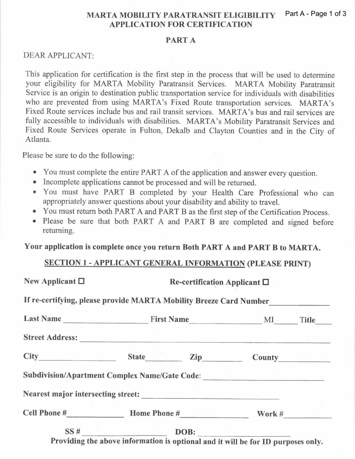#### **MARTA MOBILITY PARATRANSIT ELIGIBILITY APPLICATION FOR CERTIFICATION**  Part A - Page 1 of 3

#### **PART A**

# DEAR APPLICANT:

This application for certification is the first step in the process that will be used to determine your eligibility for MARTA Mobility Paratransit Services. MARTA Mobility Paratransit Service is an origin to destination public transportation service for individuals with disabilities who are prevented from using MARTA's Fixed Route transportation services. MARTA's Fixed Route services include bus and rail transit services. MARTA's bus and rail services are fully accessible to individuals with disabilities. MARTA's Mobility Paratransit Services and Fixed Route Services operate in Fulton, Dekalb and Clayton Counties and in the City of Atlanta.

Please be sure to do the following:

- You must complete the entire PART A of the application and answer every question.
- Incomplete applications cannot be processed and will be returned.
- You must have PART B completed by your Health Care Professional who can appropriately answer questions about your disability and ability to travel.
- You must return both PART A and PART B as the first step of the Certification Process.
- Please be sure that both PART A and PART B are completed and signed before returning.

**Your application is complete once you return Both PART A and PART B to MARTA.** 

# **SECTION 1 - APPLICANT GENERAL INFORMATION (PLEASE PRINT)**

| New Applicant $\Box$ | Re-certification Applicant $\Box$                                                |  |  |  |
|----------------------|----------------------------------------------------------------------------------|--|--|--|
|                      | If re-certifying, please provide MARTA Mobility Breeze Card Number               |  |  |  |
|                      |                                                                                  |  |  |  |
|                      |                                                                                  |  |  |  |
|                      | City State Zip County                                                            |  |  |  |
|                      | Subdivision/Apartment Complex Name/Gate Code: __________________________________ |  |  |  |
|                      |                                                                                  |  |  |  |
|                      |                                                                                  |  |  |  |
|                      | $\overline{\text{SS H}}$ DOB:                                                    |  |  |  |
|                      | Providing the above information is optional and it will be for ID purposes only. |  |  |  |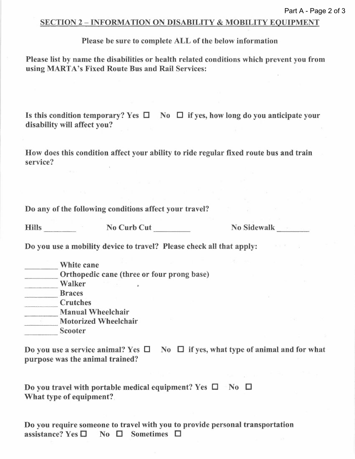### SECTION 2 - INFORMATION ON DISABILITY & MOBILITY EQUIPMENT

#### Please be sure to complete ALL of the below information

Please list by name the disabilities or health related conditions which prevent you from using MARTA's Fixed Route Bus and Rail Services:

Is this condition temporary? Yes  $\Box$  No  $\Box$  if yes, how long do you anticipate your disability will affect you?

How does this condition affect your ability to ride regular fixed route bus and train service?

Do any of the following conditions affect your travel?

Hills ----

No Curb Cut

No Sidewalk

Do you use a mobility device to travel? Please check all that apply:

| White cane                                 |
|--------------------------------------------|
| Orthopedic cane (three or four prong base) |
| Walker                                     |
| <b>Braces</b>                              |
| <b>Crutches</b>                            |
| <b>Manual Wheelchair</b>                   |
| <b>Motorized Wheelchair</b>                |
| <b>Scooter</b>                             |

Do you use a service animal? Yes  $\Box$  No  $\Box$  if yes, what type of animal and for what purpose was the animal trained?

Do you travel with portable medical equipment? Yes  $\square$  No  $\square$ What type of equipment?.

Do you require someone to travel with you to provide personal transportation<br>assistance? Yes  $\square$  No  $\square$  Sometimes  $\square$ No  $\square$  Sometimes  $\square$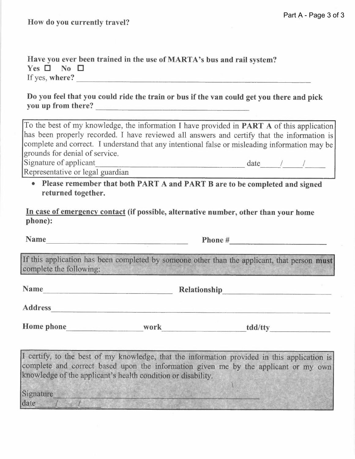How do you currently travel?

**Have you ever been trained in the use of MART A's bus and rail system?**   $Yes \Box No \Box$ If yes, **where? \_** 

**Do you feel that you could ride the train or bus if the van could get you there and pick you up from there? \_** 

To the best of my knowledge, the information I have provided in **PART A** of this application has been properly recorded. I have reviewed all answers and certify that the information is complete and correct. I understand that any intentional false or misleading information may be grounds for denial of service.

Signature of applicant date  $\frac{1}{2}$  date  $\frac{1}{2}$ 

Representative or legal guardian

**• Please remember that both PART A and PART B are to be completed and signed returned together.** 

**In case of emergency contact (if possible, alternative number, other than your home phone):** 

Name Phone # Phone # 2000

If this application has been completed by someone other than the applicant, that person **must**  complete the following:  $\blacksquare$ 

**Name Relationship Relationship Relationship Relationship** 

**Address** 

Home phone work tdd/tty

I certify, to the best of my knowledge, that the information provided in this application is complete and correct based upon the information given me by the applicant or my own knowledge of the applicant's health condition or disability.

<u>r in de la citat de la citat de la c</u>

Signature date  $\sqrt{1 + \sqrt{1 + \left(1 + \frac{1}{2}\right)^2}}$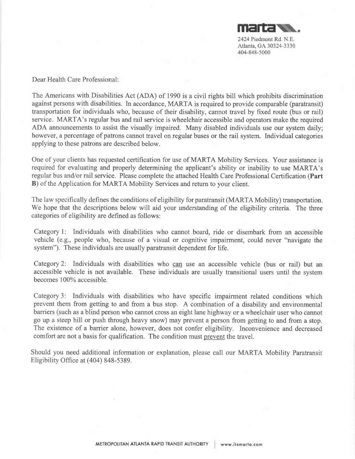

Dear Health Care Professional:

The Americans with Disabilities Act (ADA) of 1990 is a civil rights bill which prohibits discrimination against persons with disabilities. In accordance, MARTA is required to provide comparable (paratransit) transportation for individuals who, because of their disability, cannot travel by fixed route (bus or rail) service. MARTA's regular bus and rail service is wheelchair accessible and operators make the required ADA announcements to assist the visually impaired. Many disabled individuals use our system daily; however, a percentage of patrons cannot travel on regular buses or the rail system. Individual categories applying to these patrons are described below.

One of your clients has requested certification for use of MARTA Mobility Services. Your assistance is required for evaluating and properly determining the applicant's ability or inability to use MARTA's regular bus and/or rail service. Please complete the attached Health Care Professional Certification **(Part B)** of the Application for MARTA Mobility Services and return to your client.

The law specifically defines the conditions of eligibility for paratransit (MARTA Mobility) transportation. We hope that the descriptions below will aid your understanding of the eligibility criteria. The three categories of eligibility are defined as follows:

Category 1: Individuals with disabilities who cannot board, ride or disembark from an accessible vehicle (e.g., people who, because of a visual or cognitive impairment, could never "navigate the system"). These individuals are usually paratransit dependent for life.

Category 2: Individuals with disabilities who can use an accessible vehicle (bus or rail) but an accessible vehicle is not available. These individuals are usually transitional users until the system becomes 100% accessible.

Category 3: Individuals with disabilities who have specific impairment related conditions which prevent them from getting to and from a bus stop. A combination of a disability and environmental barriers (such as a blind person who cannot cross an eight lane highway or a wheelchair user who cannot go up a steep hill or push through heavy snow) may prevent a person from getting to and from a stop. The existence of a barrier alone, however, does not confer eligibility. Inconvenience and decreased comfort are not a basis for qualification. The condition must prevent the travel.

Should you need additional information or explanation, please call our MARTA Mobility Paratransit Eligibility Office at (404) 848-5389.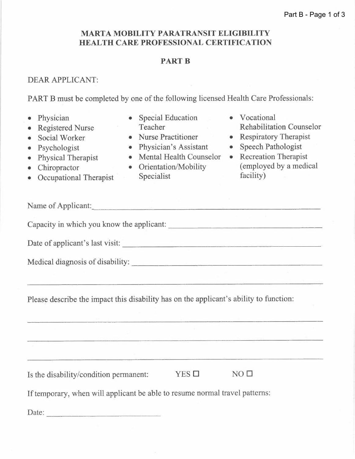# **MARTA MOBILITY PARATRANSIT ELIGIBILITY HEALTH CARE PROFESSIONAL CERTIFICATION**

### **PARTB**

### DEAR APPLICANT:

PART B must be completed by one of the following licensed Health Care Professionals:

• Physician • Registered Nurse • Social Worker • Psychologist • Physical Therapist **Chiropractor** • Occupational Therapist • Special Education Teacher • Nurse Practitioner • Physician's Assistant • Mental Health Counselor • Orientation/Mobility Specialist • Vocational Rehabilitation Counselor • Respiratory Therapist • Speech Pathologist • Recreation Therapist ( employed by a medical facility) Name of Applicant: Capacity in which you know the applicant: \_ Date of applicant's last visit: \_ Medical diagnosis of disability: \_ Please describe the impact this disability has on the applicant's ability to function: Is the disability/condition permanent: YES  $\square$  NO  $\square$ If temporary, when will applicant be able to resume normal travel patterns: Date: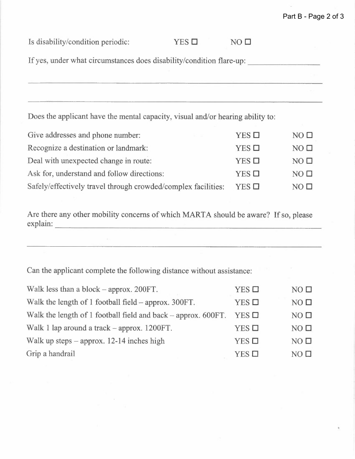# Part B - Page 2 of 3

| Give addresses and phone number:                              | $YES$ $\square$ | NO <sub>D</sub> |
|---------------------------------------------------------------|-----------------|-----------------|
| Recognize a destination or landmark:                          | $YES$ $\square$ | NO <sub>0</sub> |
| Deal with unexpected change in route:                         | $YES$ $\square$ | NO <sub>0</sub> |
| Ask for, understand and follow directions:                    | $YES$ $\Box$    | NO <sub>0</sub> |
| Safely/effectively travel through crowded/complex facilities: | $YES$ $\square$ | NO <sub>0</sub> |

Are there any other mobility concerns of which MARTA should be aware? If so, please explain:

Can the applicant complete the following distance without assistance:

| Walk less than a block $-$ approx. 200FT.                     | $YES$ $\square$ | NO <sub>0</sub> |
|---------------------------------------------------------------|-----------------|-----------------|
| Walk the length of 1 football field – approx. 300FT.          | $YES$ $\square$ | NO <sub>1</sub> |
| Walk the length of 1 football field and back – approx. 600FT. | $YES$ $\Box$    | NO <sub>0</sub> |
| Walk 1 lap around a track – approx. 1200FT.                   | $YES$ $\square$ | NO <sub>1</sub> |
| Walk up steps $-$ approx. 12-14 inches high                   | $YES$ $\square$ | NO <sub>D</sub> |
| Grip a handrail                                               | $YES$ $\square$ | NO <sub>0</sub> |